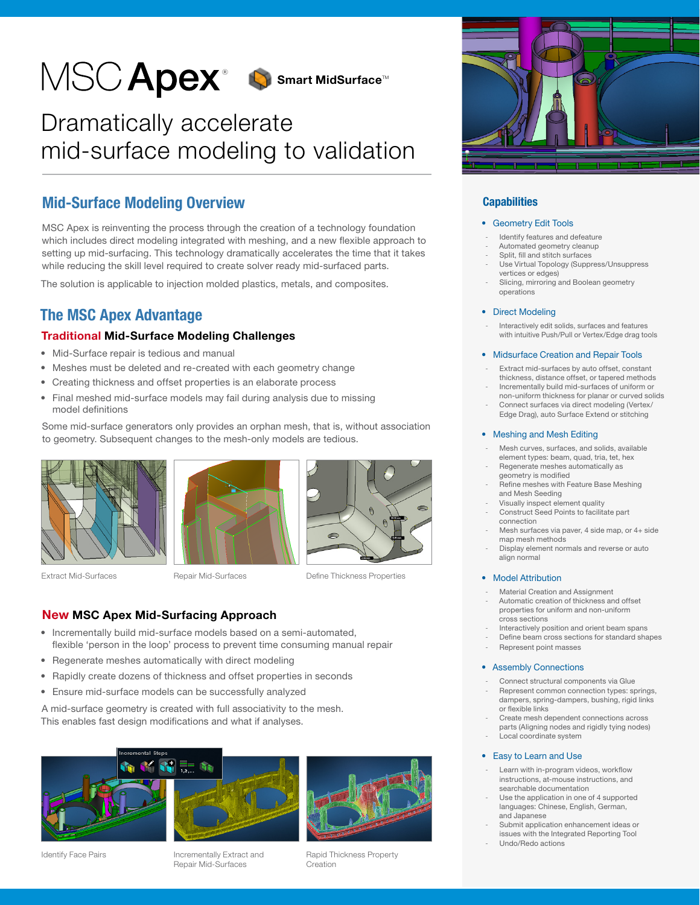

# Dramatically accelerate mid-surface modeling to validation

# Mid-Surface Modeling Overview

MSC Apex is reinventing the process through the creation of a technology foundation which includes direct modeling integrated with meshing, and a new flexible approach to setting up mid-surfacing. This technology dramatically accelerates the time that it takes while reducing the skill level required to create solver ready mid-surfaced parts.

The solution is applicable to injection molded plastics, metals, and composites.

# The MSC Apex Advantage

## Traditional Mid-Surface Modeling Challenges

- Mid-Surface repair is tedious and manual
- Meshes must be deleted and re-created with each geometry change
- Creating thickness and offset properties is an elaborate process
- Final meshed mid-surface models may fail during analysis due to missing model definitions

Some mid-surface generators only provides an orphan mesh, that is, without association to geometry. Subsequent changes to the mesh-only models are tedious.



Extract Mid-Surfaces





Define Thickness Properties

## New MSC Apex Mid-Surfacing Approach

- Incrementally build mid-surface models based on a semi-automated, flexible 'person in the loop' process to prevent time consuming manual repair
- Regenerate meshes automatically with direct modeling
- Rapidly create dozens of thickness and offset properties in seconds
- Ensure mid-surface models can be successfully analyzed

A mid-surface geometry is created with full associativity to the mesh. This enables fast design modifications and what if analyses.





Incrementally Extract and Repair Mid-Surfaces



Rapid Thickness Property Creation



### **Capabilities**

#### • Geometry Edit Tools

- Identify features and defeature
- Automated geometry cleanup
- Split, fill and stitch surfaces
- Use Virtual Topology (Suppress/Unsuppress vertices or edges)
- Slicing, mirroring and Boolean geometry operations

#### • Direct Modeling

Interactively edit solids, surfaces and features with intuitive Push/Pull or Vertex/Edge drag tools

#### • Midsurface Creation and Repair Tools

- Extract mid-surfaces by auto offset, constant thickness, distance offset, or tapered methods - Incrementally build mid-surfaces of uniform or
- non-uniform thickness for planar or curved solids
- Connect surfaces via direct modeling (Vertex/ Edge Drag), auto Surface Extend or stitching

#### • Meshing and Mesh Editing

- Mesh curves, surfaces, and solids, available element types: beam, quad, tria, tet, hex
- Regenerate meshes automatically as geometry is modified
- Refine meshes with Feature Base Meshing and Mesh Seeding
- Visually inspect element quality Construct Seed Points to facilitate part
- connection Mesh surfaces via paver, 4 side map, or 4+ side
- map mesh methods Display element normals and reverse or auto align normal

- Model Attribution
- Material Creation and Assignment
- Automatic creation of thickness and offset properties for uniform and non-uniform cross sections
- Interactively position and orient beam spans
- Define beam cross sections for standard shapes
- Represent point masses

#### • Assembly Connections

- Connect structural components via Glue
- Represent common connection types: springs, dampers, spring-dampers, bushing, rigid links or flexible links
- Create mesh dependent connections across parts (Aligning nodes and rigidly tying nodes) Local coordinate system

#### • Easy to Learn and Use

- Learn with in-program videos, workflow instructions, at-mouse instructions, and searchable documentation
- Use the application in one of 4 supported languages: Chinese, English, German, and Japanese
- Submit application enhancement ideas or issues with the Integrated Reporting Tool - Undo/Redo actions

Repair Mid-Surfaces